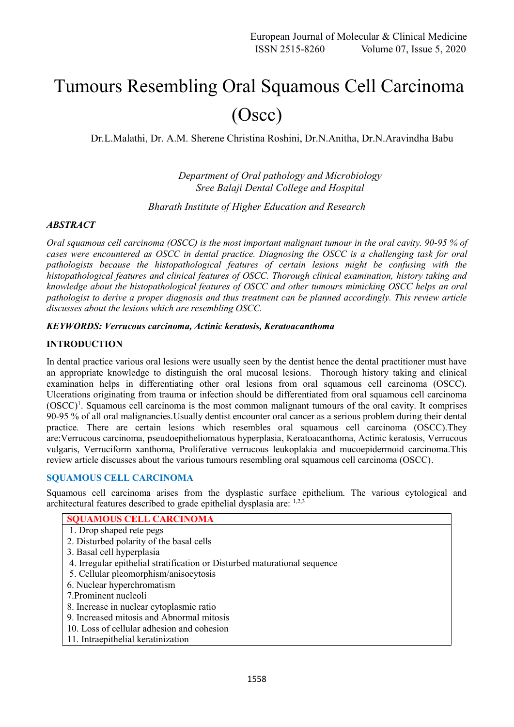# Tumours Resembling Oral Squamous Cell Carcinoma (Oscc)

Dr.L.Malathi, Dr. A.M. Sherene Christina Roshini, Dr.N.Anitha, Dr.N.Aravindha Babu

*Department of Oral pathology and Microbiology Sree Balaji Dental College and Hospital*

*Bharath Institute of Higher Education and Research*

#### *ABSTRACT*

*Oral squamous cell carcinoma (OSCC) is the most important malignant tumour in the oral cavity. 90-95 % of cases were encountered as OSCC in dental practice. Diagnosing the OSCC is a challenging task for oral pathologists because the histopathological features of certain lesions might be confusing with the histopathological features and clinical features of OSCC. Thorough clinical examination, history taking and knowledge about the histopathological features of OSCC and other tumours mimicking OSCC helps an oral pathologist to derive a proper diagnosis and thus treatment can be planned accordingly. This review article discusses about the lesions which are resembling OSCC.*

#### *KEYWORDS: Verrucous carcinoma, Actinic keratosis, Keratoacanthoma*

#### **INTRODUCTION**

In dental practice various oral lesions were usually seen by the dentist hence the dental practitioner must have an appropriate knowledge to distinguish the oral mucosal lesions. Thorough history taking and clinical examination helps in differentiating other oral lesions from oral squamous cell carcinoma (OSCC). Ulcerations originating from trauma or infection should be differentiated from oral squamous cell carcinoma (OSCC)<sup>1</sup>. Squamous cell carcinoma is the most common malignant tumours of the oral cavity. It comprises 90-95 % of all oral malignancies.Usually dentist encounter oral cancer as a serious problem during their dental practice. There are certain lesions which resembles oral squamous cell carcinoma (OSCC).They are:Verrucous carcinoma, pseudoepitheliomatous hyperplasia, Keratoacanthoma, Actinic keratosis, Verrucous vulgaris, Verruciform xanthoma, Proliferative verrucous leukoplakia and mucoepidermoid carcinoma.This review article discusses about the various tumours resembling oral squamous cell carcinoma (OSCC).

#### **SQUAMOUS CELL CARCINOMA**

Squamous cell carcinoma arises from the dysplastic surface epithelium. The various cytological and architectural features described to grade epithelial dysplasia are: 1,2,3

| <b>SQUAMOUS CELL CARCINOMA</b>                                            |
|---------------------------------------------------------------------------|
| 1. Drop shaped rete pegs                                                  |
| 2. Disturbed polarity of the basal cells                                  |
| 3. Basal cell hyperplasia                                                 |
| 4. Irregular epithelial stratification or Disturbed maturational sequence |
| 5. Cellular pleomorphism/anisocytosis                                     |
| 6. Nuclear hyperchromatism                                                |
| 7. Prominent nucleoli                                                     |
| 8. Increase in nuclear cytoplasmic ratio                                  |
| 9. Increased mitosis and Abnormal mitosis                                 |
| 10. Loss of cellular adhesion and cohesion                                |
| 11. Intraepithelial keratinization                                        |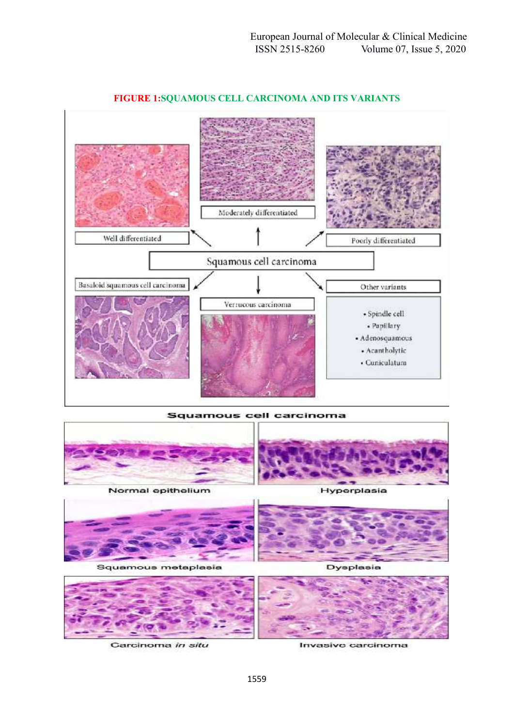

## **FIGURE 1:SQUAMOUS CELL CARCINOMA AND ITS VARIANTS**

Squamous cell carcinoma





Carcinoma in situ

Invasive carcinoma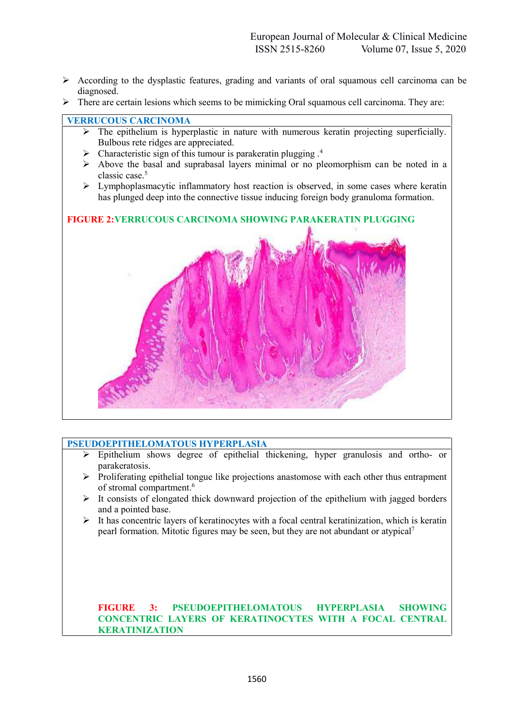- $\triangleright$  According to the dysplastic features, grading and variants of oral squamous cell carcinoma can be diagnosed.
- $\triangleright$  There are certain lesions which seems to be mimicking Oral squamous cell carcinoma. They are:

## **VERRUCOUS CARCINOMA**

- $\triangleright$  The epithelium is hyperplastic in nature with numerous keratin projecting superficially. Bulbous rete ridges are appreciated.
- $\triangleright$  Characteristic sign of this tumour is parakeratin plugging .<sup>4</sup>
- $\triangleright$  Above the basal and suprabasal layers minimal or no pleomorphism can be noted in a classic case.<sup>5</sup>
- $\triangleright$  Lymphoplasmacytic inflammatory host reaction is observed, in some cases where keratin has plunged deep into the connective tissue inducing foreign body granuloma formation.

## **FIGURE 2:VERRUCOUS CARCINOMA SHOWING PARAKERATIN PLUGGING**



#### **PSEUDOEPITHELOMATOUS HYPERPLASIA**

- Epithelium shows degree of epithelial thickening, hyper granulosis and ortho- or parakeratosis.
- $\triangleright$  Proliferating epithelial tongue like projections anastomose with each other thus entrapment of stromal compartment.<sup>6</sup>
- $\triangleright$  It consists of elongated thick downward projection of the epithelium with jagged borders and a pointed base.
- $\triangleright$  It has concentric layers of keratinocytes with a focal central keratinization, which is keratin pearl formation. Mitotic figures may be seen, but they are not abundant or atypical<sup>7</sup>

## **FIGURE 3: PSEUDOEPITHELOMATOUS HYPERPLASIA SHOWING CONCENTRIC LAYERS OF KERATINOCYTES WITH A FOCAL CENTRAL KERATINIZATION**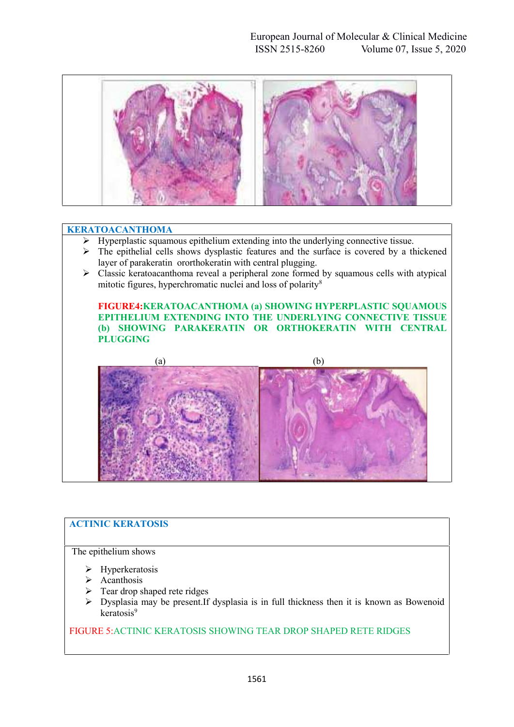

#### **KERATOACANTHOMA**

- $\triangleright$  Hyperplastic squamous epithelium extending into the underlying connective tissue.
- $\triangleright$  The epithelial cells shows dysplastic features and the surface is covered by a thickened layer of parakeratin ororthokeratin with central plugging.
- $\triangleright$  Classic keratoacanthoma reveal a peripheral zone formed by squamous cells with atypical mitotic figures, hyperchromatic nuclei and loss of polarity<sup>8</sup>

**FIGURE4:KERATOACANTHOMA (a) SHOWING HYPERPLASTIC SQUAMOUS EPITHELIUM EXTENDING INTO THE UNDERLYING CONNECTIVE TISSUE (b) SHOWING PARAKERATIN OR ORTHOKERATIN WITH CENTRAL PLUGGING**



## **ACTINIC KERATOSIS**

The epithelium shows

- $\triangleright$  Hyperkeratosis
- $\triangleright$  Acanthosis
- Tear drop shaped rete ridges
- $\triangleright$  Dysplasia may be present. If dysplasia is in full thickness then it is known as Bowenoid keratosis<sup>9</sup>

## FIGURE 5:ACTINIC KERATOSIS SHOWING TEAR DROP SHAPED RETE RIDGES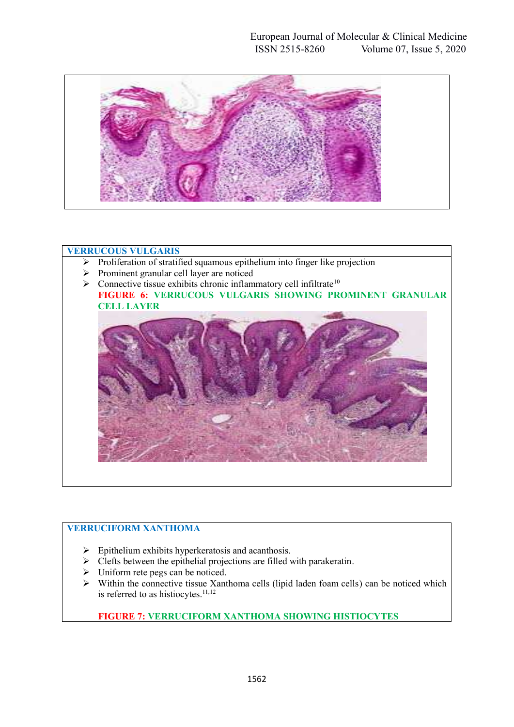

## **VERRUCOUS VULGARIS**

- $\triangleright$  Proliferation of stratified squamous epithelium into finger like projection
- $\triangleright$  Prominent granular cell layer are noticed
- $\triangleright$  Connective tissue exhibits chronic inflammatory cell infiltrate<sup>10</sup> **FIGURE 6: VERRUCOUS VULGARIS SHOWING PROMINENT GRANULAR CELL LAYER**



# **VERRUCIFORM XANTHOMA**

- $\triangleright$  Epithelium exhibits hyperkeratosis and acanthosis.
- $\triangleright$  Clefts between the epithelial projections are filled with parakeratin.
- $\triangleright$  Uniform rete pegs can be noticed.
- $\triangleright$  Within the connective tissue Xanthoma cells (lipid laden foam cells) can be noticed which is referred to as histiocytes. $11,12$

## **FIGURE 7: VERRUCIFORM XANTHOMA SHOWING HISTIOCYTES**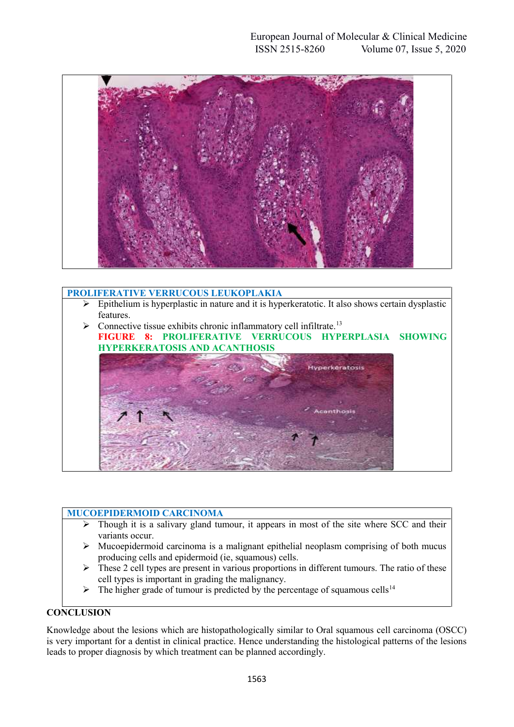

## **PROLIFERATIVE VERRUCOUS LEUKOPLAKIA**

- $\triangleright$  Epithelium is hyperplastic in nature and it is hyperkeratotic. It also shows certain dysplastic features.
- $\triangleright$  Connective tissue exhibits chronic inflammatory cell infiltrate.<sup>13</sup> **FIGURE 8: PROLIFERATIVE VERRUCOUS HYPERPLASIA SHOWING HYPERKERATOSIS AND ACANTHOSIS**



#### **MUCOEPIDERMOID CARCINOMA**

- $\triangleright$  Though it is a salivary gland tumour, it appears in most of the site where SCC and their variants occur.
- $\triangleright$  Mucoepidermoid carcinoma is a malignant epithelial neoplasm comprising of both mucus producing cells and epidermoid (ie, squamous) cells.
- $\triangleright$  These 2 cell types are present in various proportions in different tumours. The ratio of these cell types is important in grading the malignancy.
- $\triangleright$  The higher grade of tumour is predicted by the percentage of squamous cells<sup>14</sup>

## **CONCLUSION**

Knowledge about the lesions which are histopathologically similar to Oral squamous cell carcinoma (OSCC) is very important for a dentist in clinical practice. Hence understanding the histological patterns of the lesions leads to proper diagnosis by which treatment can be planned accordingly.